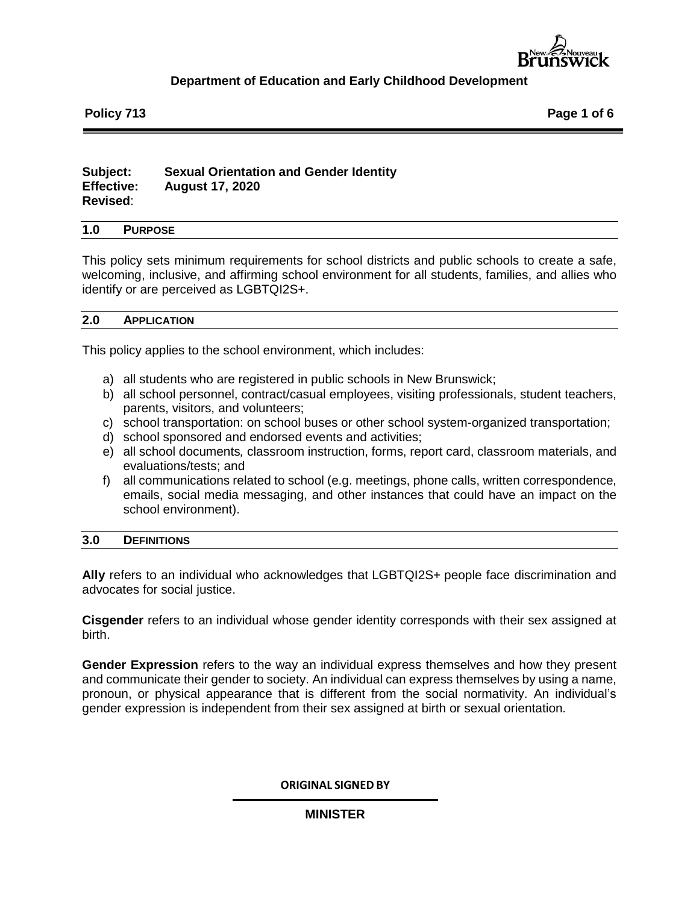

**Policy 713 Page 1 of 6**

## **Subject: Sexual Orientation and Gender Identity Effective: August 17, 2020 Revised**:

### **1.0 PURPOSE**

This policy sets minimum requirements for school districts and public schools to create a safe, welcoming, inclusive, and affirming school environment for all students, families, and allies who identify or are perceived as LGBTQI2S+.

### **2.0 APPLICATION**

This policy applies to the school environment, which includes:

- a) all students who are registered in public schools in New Brunswick;
- b) all school personnel, contract/casual employees, visiting professionals, student teachers, parents, visitors, and volunteers;
- c) school transportation: on school buses or other school system-organized transportation;
- d) school sponsored and endorsed events and activities;
- e) all school documents*,* classroom instruction, forms, report card, classroom materials, and evaluations/tests; and
- f) all communications related to school (e.g. meetings, phone calls, written correspondence, emails, social media messaging, and other instances that could have an impact on the school environment).

### **3.0 DEFINITIONS**

**Ally** refers to an individual who acknowledges that LGBTQI2S+ people face discrimination and advocates for social justice.

**Cisgender** refers to an individual whose gender identity corresponds with their sex assigned at birth.

**Gender Expression** refers to the way an individual express themselves and how they present and communicate their gender to society. An individual can express themselves by using a name, pronoun, or physical appearance that is different from the social normativity. An individual's gender expression is independent from their sex assigned at birth or sexual orientation.

### **ORIGINAL SIGNED BY**

## **MINISTER**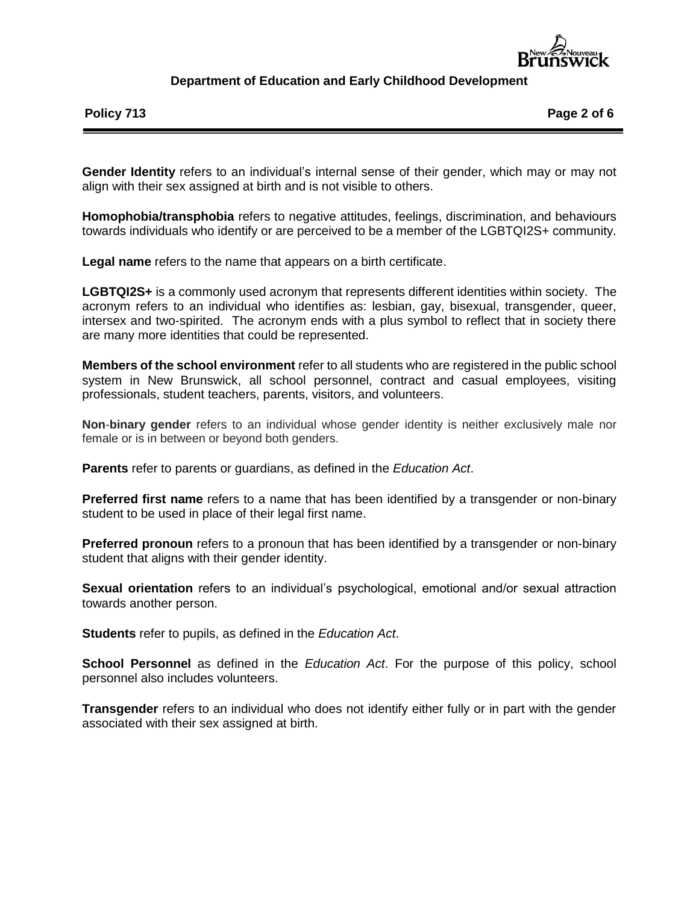

**Policy 713 Page 2 of 6**

**Gender Identity** refers to an individual's internal sense of their gender, which may or may not align with their sex assigned at birth and is not visible to others.

**Homophobia/transphobia** refers to negative attitudes, feelings, discrimination, and behaviours towards individuals who identify or are perceived to be a member of the LGBTQI2S+ community.

**Legal name** refers to the name that appears on a birth certificate.

**LGBTQI2S+** is a commonly used acronym that represents different identities within society. The acronym refers to an individual who identifies as: lesbian, gay, bisexual, transgender, queer, intersex and two-spirited. The acronym ends with a plus symbol to reflect that in society there are many more identities that could be represented.

**Members of the school environment** refer to all students who are registered in the public school system in New Brunswick, all school personnel, contract and casual employees, visiting professionals, student teachers, parents, visitors, and volunteers.

**Non**-**binary gender** refers to an individual whose gender identity is neither exclusively male nor female or is in between or beyond both genders.

**Parents** refer to parents or guardians, as defined in the *Education Act*.

**Preferred first name** refers to a name that has been identified by a transgender or non-binary student to be used in place of their legal first name.

**Preferred pronoun** refers to a pronoun that has been identified by a transgender or non-binary student that aligns with their gender identity.

**Sexual orientation** refers to an individual's psychological, emotional and/or sexual attraction towards another person.

**Students** refer to pupils, as defined in the *Education Act*.

**School Personnel** as defined in the *Education Act*. For the purpose of this policy, school personnel also includes volunteers.

**Transgender** refers to an individual who does not identify either fully or in part with the gender associated with their sex assigned at birth.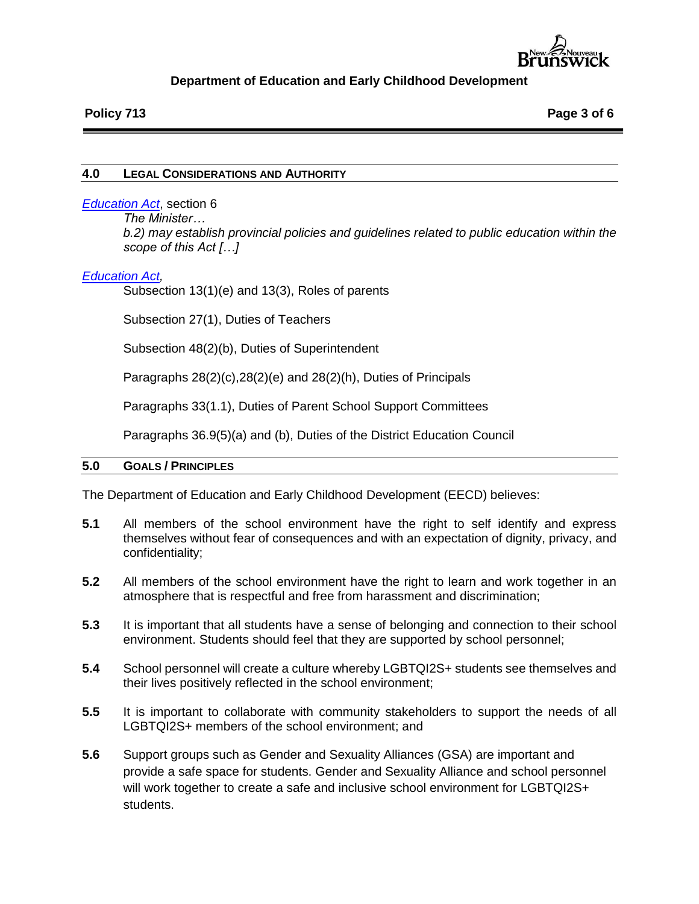

## **4.0 LEGAL CONSIDERATIONS AND AUTHORITY**

## *[Education Act](http://laws.gnb.ca/en/deplinks?subjectnumber=7)*, section 6

*The Minister…*

*b.2) may establish provincial policies and guidelines related to public education within the scope of this Act […]*

## *[Education Act,](http://laws.gnb.ca/en/deplinks?subjectnumber=7)*

Subsection 13(1)(e) and 13(3), Roles of parents

Subsection 27(1), Duties of Teachers

Subsection 48(2)(b), Duties of Superintendent

Paragraphs 28(2)(c),28(2)(e) and 28(2)(h), Duties of Principals

Paragraphs 33(1.1), Duties of Parent School Support Committees

Paragraphs 36.9(5)(a) and (b), Duties of the District Education Council

### **5.0 GOALS / PRINCIPLES**

The Department of Education and Early Childhood Development (EECD) believes:

- **5.1** All members of the school environment have the right to self identify and express themselves without fear of consequences and with an expectation of dignity, privacy, and confidentiality;
- **5.2** All members of the school environment have the right to learn and work together in an atmosphere that is respectful and free from harassment and discrimination;
- **5.3** It is important that all students have a sense of belonging and connection to their school environment. Students should feel that they are supported by school personnel;
- **5.4** School personnel will create a culture whereby LGBTQI2S+ students see themselves and their lives positively reflected in the school environment;
- **5.5** It is important to collaborate with community stakeholders to support the needs of all LGBTQI2S+ members of the school environment; and
- **5.6** Support groups such as Gender and Sexuality Alliances (GSA) are important and provide a safe space for students. Gender and Sexuality Alliance and school personnel will work together to create a safe and inclusive school environment for LGBTQI2S+ students.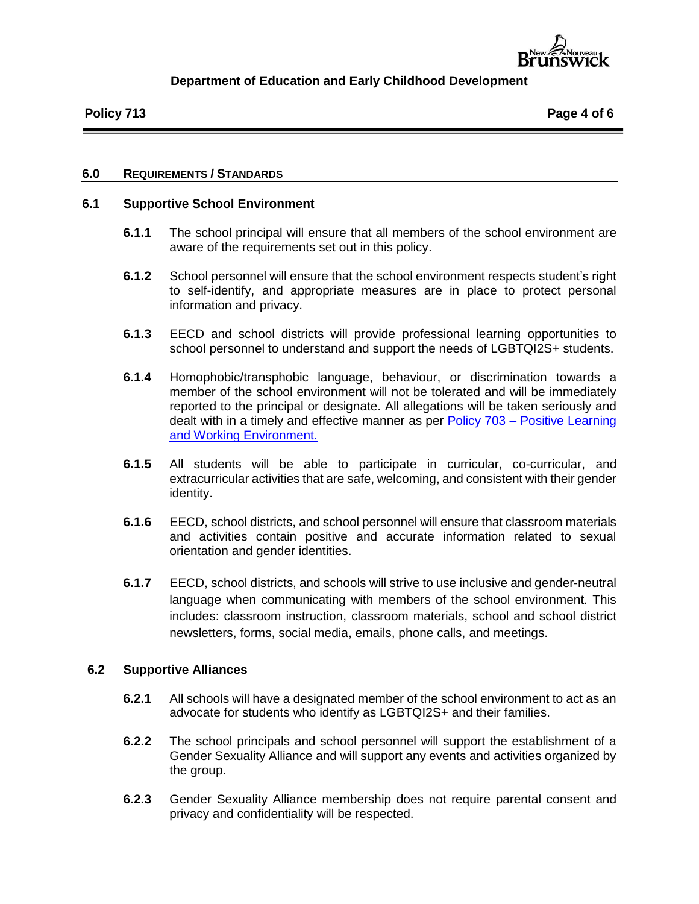

## **6.0 REQUIREMENTS / STANDARDS**

# **6.1 Supportive School Environment**

- **6.1.1** The school principal will ensure that all members of the school environment are aware of the requirements set out in this policy.
- **6.1.2** School personnel will ensure that the school environment respects student's right to self-identify, and appropriate measures are in place to protect personal information and privacy.
- **6.1.3** EECD and school districts will provide professional learning opportunities to school personnel to understand and support the needs of LGBTQI2S+ students.
- **6.1.4** Homophobic/transphobic language, behaviour, or discrimination towards a member of the school environment will not be tolerated and will be immediately reported to the principal or designate. All allegations will be taken seriously and dealt with in a timely and effective manner as per Policy 703 – [Positive Learning](https://www2.gnb.ca/content/dam/gnb/Departments/ed/pdf/K12/policies-politiques/e/703A.pdf)  [and Working Environment.](https://www2.gnb.ca/content/dam/gnb/Departments/ed/pdf/K12/policies-politiques/e/703A.pdf)
- **6.1.5** All students will be able to participate in curricular, co-curricular, and extracurricular activities that are safe, welcoming, and consistent with their gender identity.
- **6.1.6** EECD, school districts, and school personnel will ensure that classroom materials and activities contain positive and accurate information related to sexual orientation and gender identities.
- **6.1.7** EECD, school districts, and schools will strive to use inclusive and gender-neutral language when communicating with members of the school environment. This includes: classroom instruction, classroom materials, school and school district newsletters, forms, social media, emails, phone calls, and meetings.

## **6.2 Supportive Alliances**

- **6.2.1** All schools will have a designated member of the school environment to act as an advocate for students who identify as LGBTQI2S+ and their families.
- **6.2.2** The school principals and school personnel will support the establishment of a Gender Sexuality Alliance and will support any events and activities organized by the group.
- **6.2.3** Gender Sexuality Alliance membership does not require parental consent and privacy and confidentiality will be respected.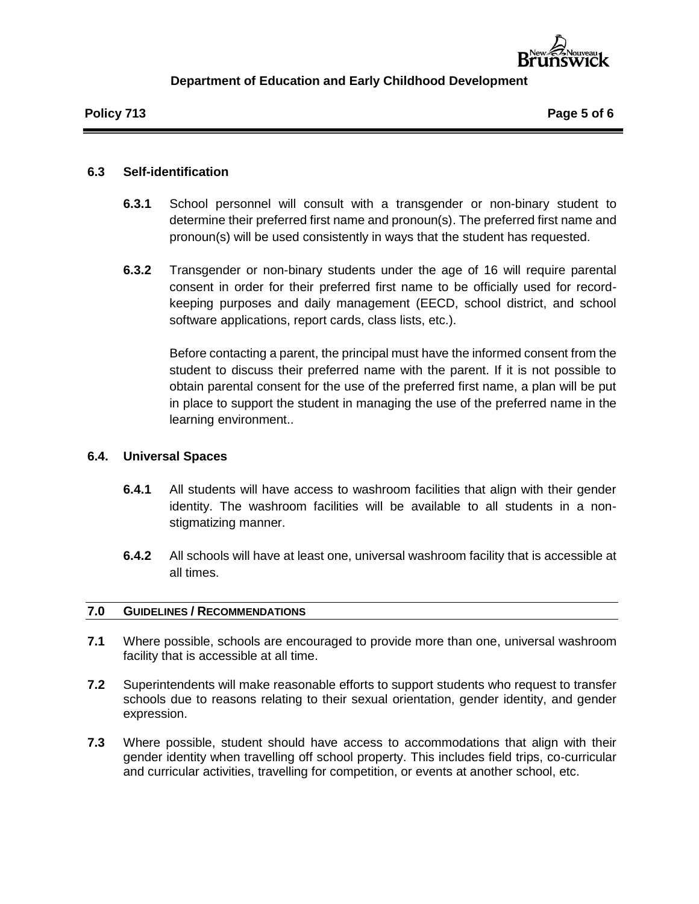

## **6.3 Self-identification**

- **6.3.1** School personnel will consult with a transgender or non-binary student to determine their preferred first name and pronoun(s). The preferred first name and pronoun(s) will be used consistently in ways that the student has requested.
- **6.3.2** Transgender or non-binary students under the age of 16 will require parental consent in order for their preferred first name to be officially used for recordkeeping purposes and daily management (EECD, school district, and school software applications, report cards, class lists, etc.).

Before contacting a parent, the principal must have the informed consent from the student to discuss their preferred name with the parent. If it is not possible to obtain parental consent for the use of the preferred first name, a plan will be put in place to support the student in managing the use of the preferred name in the learning environment..

# **6.4. Universal Spaces**

- **6.4.1** All students will have access to washroom facilities that align with their gender identity. The washroom facilities will be available to all students in a nonstigmatizing manner.
- **6.4.2** All schools will have at least one, universal washroom facility that is accessible at all times.

## **7.0 GUIDELINES / RECOMMENDATIONS**

- **7.1** Where possible, schools are encouraged to provide more than one, universal washroom facility that is accessible at all time.
- **7.2** Superintendents will make reasonable efforts to support students who request to transfer schools due to reasons relating to their sexual orientation, gender identity, and gender expression.
- **7.3** Where possible, student should have access to accommodations that align with their gender identity when travelling off school property. This includes field trips, co-curricular and curricular activities, travelling for competition, or events at another school, etc.